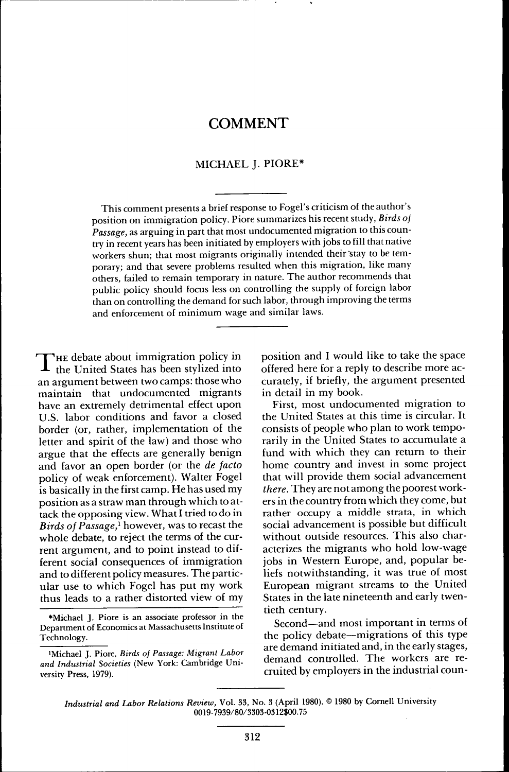## COMMENT

## MICHAEL J. PIORE\*

This comment presents a brief response to Fogel's criticism of the author's position on immigration policy. Piore summarizes his recent study. *Birds of Passage,* as arguing in part that most undocumented migration to this country in recent years has heen initiated hy employers with johs to fill that native workers shun; that most migrants originally intended their stay to be temporary; and that severe prohlems resulted when this migration, like many others, failed to remain temporary in nature. The author recommends that puhlic policy should focus less on controlling the supply of foreign lahor than on controlling the demand for such lahor, through improving the terms and enforcement of minimum wage and similar laws.

THE debate about immigration policy in the United States has been stylized into HE debate about immigration policy in an argument between two camps: those who maintain that undocumented migrants have an extremely detrimental effect upon U.S. labor conditions and favor a closed border (or, rather, implementation of the letter and spirit of the law) and those who argue that the effects are generally benign and favor an open border (or the *de facto* policy of weak enforcement). Walter Fogel is basically in the first camp. He has used my position as a straw man through which to attack the opposing view. Wbat I tried to do in *Birds of Passage,^* however, was to recast the whole debate, to reject the terms of the current argument, and to point instead to different social consequences of immigration and to different policy measures. The particular use to which Fogel has put my work thus leads to a rather distorted view of my

position and I would like to take the space offered here for a reply to describe more accurately, if briefly, the argument presented in detail in my book.

First, most undocumented migration to the United States at this time is circular. It consists of people who plan to work temporarily in the United States to accumulate a fund with wbich they can return to their home country and invest in some project that will provide them social advancement *there.* They are not among the poorest workers in the country from which they come, but ratber occupy a middle strata, in which social advancement is possible but difficult without outside resources. This also characterizes the migrants who hold low-wage jobs in Western Europe, and, popular beliefs notwithstanding, it was true of most European migrant streams to the United States in the late nineteenth and early twentieth century.

Second—and most important in terms of the policy debate—migrations of this type are demand initiated and, in the early stages, demand controlled. The workers are recruited by employers in the industrial coun-

*Industrial and Labor Relations Review,* Vol. 33, No. 3 (April 1980). © 1980 by Cornell University 0019-7939/80/3303-0312\$00.75

<sup>\*</sup>Michael J. Piore is an associate professor in the Department of Economics at Massachusetts Institute of Technology.

<sup>•</sup>Michael J. Piore, *Birds of Passage: Migrant Labor and Industrial Societies* (New York: Cambridge University Press, 1979).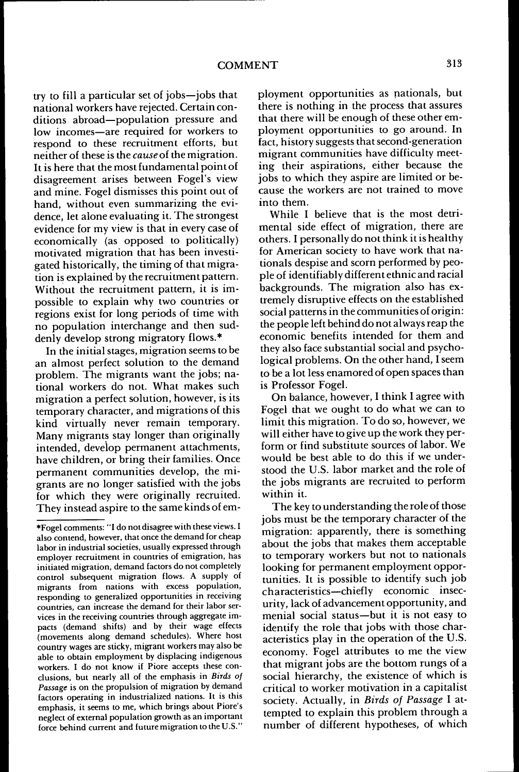try to fill a particular set of jobs—jobs that national workers have rejected. Certain conditions abroad—population pressure and low incomes—are required for workers to respond to these recruitment efforts, but neither of these is the *caused* the migration. It is here that the most fundamental point of disagreement arises between Fogel's view and mine. Fogel dismisses this point out of hand, without even summarizing the evidence, let alone evaluating it. The strongest evidence for my view is that in every case of economically (as opposed to politically) motivated migration that has been investigated historically, the timing of that migration is explained by the recruitment pattern. Without the recruitment pattern, it is impossible to explain why two countries or regions exist for long periods of time with no population interchange and then suddenly develop strong migratory flows.\*

In the initial stages, migration seems to be an almost perfect solution to the demand problem. The migrants want the jobs; national workers do not. What makes such migration a perfect solution, however, is its temporary character, and migrations of this kind virtually never remain temporary. Many migrants stay longer than originally intended, develop permanent attachments, have children, or bring their families. Once permanent communities develop, the migrants are no longer satisfied with the jobs for whicb they were originally recruited. They instead aspire to the same kinds of employment opportunities as nationals, but there is nothing in the process that assures that there will be enough of these other employment opportunities to go around. In fact, history suggests that second-generation migrant communities bave difficulty meeting their aspirations, either because the jobs to which they aspire are limited or because the workers are not trained to move into them.

While I believe that is the most detrimental side effect of migration, there are others. I personally do not think it is healthy for American society to have work that nationals despise and scorn performed by people of identifiably different ethnic and racial backgrounds. The migration also bas extremely disruptive effects on the established social patterns in the communities of origin: the people left behind do not always reap the economic benefits intended for them and they also face substantial social and psychological problems. On the other hand, I seem to be a lot less enamored of open spaces than is Professor Fogel.

On balance, however, I think I agree with Fogel that we ought to do what we can to limit this migration. To do so, however, we will either have to give up the work they perform or find substitute sources of labor. We would be best able to do this if we understood the U.S. labor market and the role of the jobs migrants are recruited to perform within it.

The key to understanding the role of those jobs must be the temporary character of the migration: apparently, there is something about the jobs that makes them acceptable to temporary workers but not to nationals looking for permanent employment opportunities. It is possible to identify such job characteristics—chiefly economic insecurity, lack of advancement opportunity, and menial social status—but it is not easy to identify the role that jobs with those characteristics play in the operation of the U.S. economy. Fogel attributes to me the view tbat migrant jobs are the bottom rungs of a social hierarchy, the existence of which is critical to worker motivation in a capitalist society. Actually, in *Birds of Passage* I attempted to explain this problem through a number of different hypotheses, of which

<sup>\*</sup>Fogel comments; "I do not disagree with these views. I also contend, however, that once the demand for cheap labor in industrial societies, usually expressed through employer recruitment in countries of emigration, has initiated migration, demand factors do not completely control subsequent migration flows. A supply of migrants from nations with excess population, responding to generalized opportunities in receiving countries, can increase the demand for their labor services in the receiving countries through aggregate impacts (demand shifts) and by their wage effects (movements along demand schedules). Where host country wages are sticky, migrant workers may also be able to obtain employment by displacing indigenous workers. I do not know if Piore accepts these conclusions, but nearly all of the emphasis in Birds *of Passage* is on the propulsion of migration by demand factors operating in industrialized nations. It is this emphasis, it seems to me, which brings about Piore's neglect of external population growth as an important force behind current and future migration to the U.S."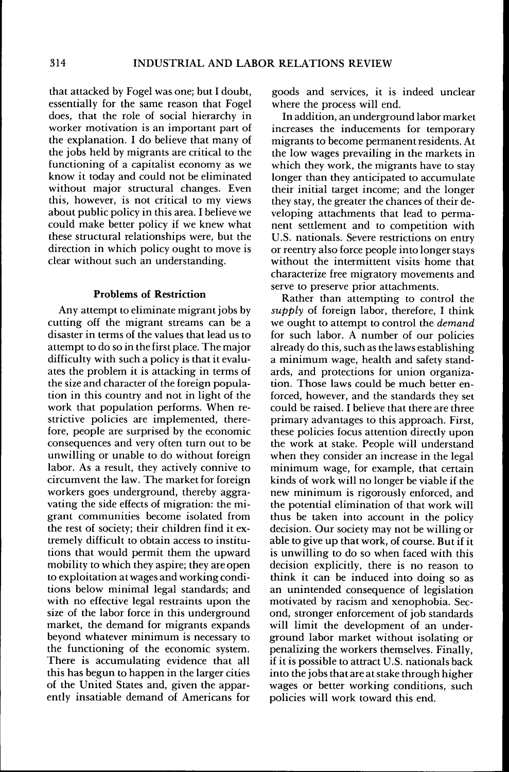that attacked by Fogel was one; but I doubt, essentially for the same reason that Fogel does, that the role of social hierarchy in worker motivation is an important part of the explanation. I do believe that many of the jobs held by migrants are critical to the functioning of a capitalist economy as we know it today and could not be eliminated without major structural changes. Even this, however, is not critical to my views about public policy in this area. I believe we could make better policy if we knew what these structural relationships were, but the direction in which policy ought to move is clear without such an understanding.

## **Problems of Restriction**

Any attempt to eliminate migrant jobs by cutting off the migrant streams can be a disaster in terms of the values that lead us to attempt to do so in the first place. The major difficulty with such a policy is that it evaluates the problem it is attacking in terms of the size and character of the foreign population in this country and not in light of the work that population performs. When restrictive policies are implemented, therefore, people are surprised by the economic consequences and very often turn out to be unwilling or unable to do without foreign labor. As a result, they actively connive to circumvent the law. The market for foreign workers goes underground, thereby aggravating the side effects of migration: the migrant communities become isolated from tbe rest of society; their children find it extremely difficult to obtain access to institutions that would permit them the upward mobility to which they aspire; they are open to exploitation at wages and working conditions below minimal legal standards; and with no effective legal restraints upon the size of the labor force in this underground market, the demand for migrants expands beyond whatever minimum is necessary to the functioning of the economic system. There is accumulating evidence that all this has begun to happen in the larger cities of the United States and, given the apparently insatiable demand of Americans for

goods and services, it is indeed unclear where the process will end.

In addition, an underground labor market increases the inducements for temporary migrants to become permanent residents. At the low wages prevailing in the markets in which they work, the migrants have to stay longer than they anticipated to accumulate their initial target income; and the longer they stay, the greater the chances of their developing attachments that lead to permanent settlement and to competition with U.S. nationals. Severe restrictions on entry or reentry also force people into longer stays without the intermittent visits home that characterize free migratory movements and serve to preserve prior attachments.

Rather than attempting to control the *supply* of foreign labor, therefore, I think we ought to attempt to control the *demand* for such labor. A number of our policies already do this, such as the laws establishing a minimum wage, health and safety standards, and protections for union organization. Those laws could be much better enforced, however, and the standards they set could be raised. I believe that there are tbree primary advantages to this approach. First, these policies focus attention directly upon the work at stake. People will understand when they consider an increase in the legal minimum wage, for example, that certain kinds of work will no longer be viable if the new minimum is rigorously enforced, and the potential elimination of that work will thus be taken into account in the policy decision. Our society may not be willing or able to give up that work, of course. But if it is unwilling to do so when faced with this decision explicitly, there is no reason to think it can be induced into doing so as an unintended consequence of legislation motivated by racism and xenophobia. Second, stronger enforcement of job standards will limit the development of an underground labor market without isolating or penalizing the workers themselves. Finally, if it is possible to attract U.S. nationals back into the jobs that are at stake through higher wages or better working conditions, such policies will work toward this end.